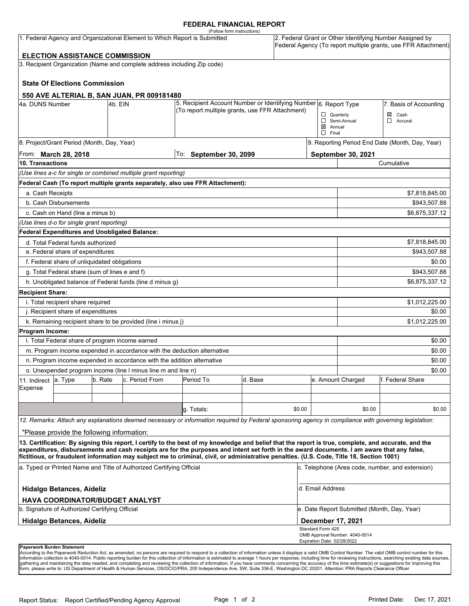#### **FEDERAL FINANCIAL REPORT**

|                                                                          |                                                 |         | 1. Federal Agency and Organizational Element to Which Report is Submitted | (Follow form instructions)                                                                                                                                                                                                                                                                                                                                                                                                                      |         |        |                             |                                                                         | 2. Federal Grant or Other Identifying Number Assigned by |  |  |
|--------------------------------------------------------------------------|-------------------------------------------------|---------|---------------------------------------------------------------------------|-------------------------------------------------------------------------------------------------------------------------------------------------------------------------------------------------------------------------------------------------------------------------------------------------------------------------------------------------------------------------------------------------------------------------------------------------|---------|--------|-----------------------------|-------------------------------------------------------------------------|----------------------------------------------------------|--|--|
| <b>ELECTION ASSISTANCE COMMISSION</b>                                    |                                                 |         |                                                                           |                                                                                                                                                                                                                                                                                                                                                                                                                                                 |         |        |                             | Federal Agency (To report multiple grants, use FFR Attachment)          |                                                          |  |  |
|                                                                          |                                                 |         | 3. Recipient Organization (Name and complete address including Zip code)  |                                                                                                                                                                                                                                                                                                                                                                                                                                                 |         |        |                             |                                                                         |                                                          |  |  |
|                                                                          |                                                 |         |                                                                           |                                                                                                                                                                                                                                                                                                                                                                                                                                                 |         |        |                             |                                                                         |                                                          |  |  |
|                                                                          | <b>State Of Elections Commission</b>            |         |                                                                           |                                                                                                                                                                                                                                                                                                                                                                                                                                                 |         |        |                             |                                                                         |                                                          |  |  |
|                                                                          |                                                 |         |                                                                           |                                                                                                                                                                                                                                                                                                                                                                                                                                                 |         |        |                             |                                                                         |                                                          |  |  |
| 550 AVE ALTERIAL B, SAN JUAN, PR 009181480<br>4a. DUNS Number<br>4b. EIN |                                                 |         | 5. Recipient Account Number or Identifying Number 6. Report Type          |                                                                                                                                                                                                                                                                                                                                                                                                                                                 |         |        |                             | 7. Basis of Accounting                                                  |                                                          |  |  |
|                                                                          |                                                 |         |                                                                           | (To report multiple grants, use FFR Attachment)                                                                                                                                                                                                                                                                                                                                                                                                 |         |        | $\Box$ Quarterly            |                                                                         | Cash<br>⊠                                                |  |  |
|                                                                          |                                                 |         |                                                                           |                                                                                                                                                                                                                                                                                                                                                                                                                                                 |         |        | $\boxtimes$ Annual          | Semi-Annual                                                             | $\Box$ Accural                                           |  |  |
|                                                                          |                                                 |         |                                                                           |                                                                                                                                                                                                                                                                                                                                                                                                                                                 |         |        | $\Box$ Final                |                                                                         |                                                          |  |  |
| 8. Project/Grant Period (Month, Day, Year)                               |                                                 |         |                                                                           |                                                                                                                                                                                                                                                                                                                                                                                                                                                 |         |        |                             | 9. Reporting Period End Date (Month, Day, Year)                         |                                                          |  |  |
| From: <b>March 28, 2018</b>                                              |                                                 |         |                                                                           | To: September 30, 2099                                                                                                                                                                                                                                                                                                                                                                                                                          |         |        |                             | September 30, 2021                                                      |                                                          |  |  |
| 10. Transactions                                                         |                                                 |         |                                                                           |                                                                                                                                                                                                                                                                                                                                                                                                                                                 |         |        |                             |                                                                         | Cumulative                                               |  |  |
|                                                                          |                                                 |         | (Use lines a-c for single or combined multiple grant reporting)           |                                                                                                                                                                                                                                                                                                                                                                                                                                                 |         |        |                             |                                                                         |                                                          |  |  |
|                                                                          |                                                 |         |                                                                           | Federal Cash (To report multiple grants separately, also use FFR Attachment):                                                                                                                                                                                                                                                                                                                                                                   |         |        |                             |                                                                         |                                                          |  |  |
| a. Cash Receipts                                                         |                                                 |         |                                                                           |                                                                                                                                                                                                                                                                                                                                                                                                                                                 |         |        |                             |                                                                         | \$7,818,845.00                                           |  |  |
|                                                                          | b. Cash Disbursements                           |         |                                                                           |                                                                                                                                                                                                                                                                                                                                                                                                                                                 |         |        |                             | \$943,507.88                                                            |                                                          |  |  |
|                                                                          | c. Cash on Hand (line a minus b)                |         |                                                                           |                                                                                                                                                                                                                                                                                                                                                                                                                                                 |         |        |                             |                                                                         | \$6,875,337.12                                           |  |  |
|                                                                          | (Use lines d-o for single grant reporting)      |         |                                                                           |                                                                                                                                                                                                                                                                                                                                                                                                                                                 |         |        |                             |                                                                         |                                                          |  |  |
|                                                                          | Federal Expenditures and Unobligated Balance:   |         |                                                                           |                                                                                                                                                                                                                                                                                                                                                                                                                                                 |         |        |                             |                                                                         |                                                          |  |  |
| d. Total Federal funds authorized                                        |                                                 |         |                                                                           |                                                                                                                                                                                                                                                                                                                                                                                                                                                 |         |        |                             | \$7,818,845.00                                                          |                                                          |  |  |
| e. Federal share of expenditures                                         |                                                 |         |                                                                           |                                                                                                                                                                                                                                                                                                                                                                                                                                                 |         |        |                             | \$943,507.88                                                            |                                                          |  |  |
| f. Federal share of unliquidated obligations                             |                                                 |         |                                                                           |                                                                                                                                                                                                                                                                                                                                                                                                                                                 |         |        |                             |                                                                         | \$0.00                                                   |  |  |
| g. Total Federal share (sum of lines e and f)                            |                                                 |         |                                                                           |                                                                                                                                                                                                                                                                                                                                                                                                                                                 |         |        |                             | \$943,507.88                                                            |                                                          |  |  |
|                                                                          |                                                 |         | h. Unobligated balance of Federal funds (line d minus g)                  |                                                                                                                                                                                                                                                                                                                                                                                                                                                 |         |        |                             |                                                                         | \$6,875,337.12                                           |  |  |
| <b>Recipient Share:</b>                                                  |                                                 |         |                                                                           |                                                                                                                                                                                                                                                                                                                                                                                                                                                 |         |        |                             |                                                                         |                                                          |  |  |
| i. Total recipient share required                                        |                                                 |         |                                                                           |                                                                                                                                                                                                                                                                                                                                                                                                                                                 |         |        |                             |                                                                         | \$1,012,225.00                                           |  |  |
| j. Recipient share of expenditures                                       |                                                 |         |                                                                           |                                                                                                                                                                                                                                                                                                                                                                                                                                                 |         |        |                             |                                                                         | \$0.00                                                   |  |  |
|                                                                          |                                                 |         | k. Remaining recipient share to be provided (line i minus j)              |                                                                                                                                                                                                                                                                                                                                                                                                                                                 |         |        |                             |                                                                         | \$1,012,225.00                                           |  |  |
| Program Income:                                                          |                                                 |         |                                                                           |                                                                                                                                                                                                                                                                                                                                                                                                                                                 |         |        |                             |                                                                         |                                                          |  |  |
|                                                                          | I. Total Federal share of program income earned |         |                                                                           |                                                                                                                                                                                                                                                                                                                                                                                                                                                 |         |        |                             |                                                                         | \$0.00                                                   |  |  |
|                                                                          |                                                 |         |                                                                           | m. Program income expended in accordance with the deduction alternative                                                                                                                                                                                                                                                                                                                                                                         |         |        |                             | \$0.00                                                                  |                                                          |  |  |
|                                                                          |                                                 |         | n. Program income expended in accordance with the addition alternative    |                                                                                                                                                                                                                                                                                                                                                                                                                                                 |         |        |                             | \$0.00                                                                  |                                                          |  |  |
| o. Unexpended program income (line I minus line m and line n)            |                                                 |         |                                                                           |                                                                                                                                                                                                                                                                                                                                                                                                                                                 |         |        |                             |                                                                         | \$0.00                                                   |  |  |
| 11. Indirect<br>Expense                                                  | a. Type                                         | b. Rate | c. Period From                                                            | Period To                                                                                                                                                                                                                                                                                                                                                                                                                                       | d. Base |        |                             | e. Amount Charged                                                       | f. Federal Share                                         |  |  |
|                                                                          |                                                 |         |                                                                           |                                                                                                                                                                                                                                                                                                                                                                                                                                                 |         |        |                             |                                                                         |                                                          |  |  |
|                                                                          |                                                 |         |                                                                           | g. Totals:                                                                                                                                                                                                                                                                                                                                                                                                                                      |         | \$0.00 |                             | \$0.00                                                                  | \$0.00                                                   |  |  |
|                                                                          |                                                 |         |                                                                           |                                                                                                                                                                                                                                                                                                                                                                                                                                                 |         |        |                             |                                                                         |                                                          |  |  |
|                                                                          |                                                 |         |                                                                           | 12. Remarks: Attach any explanations deemed necessary or information required by Federal sponsoring agency in compliance with governing legislation:                                                                                                                                                                                                                                                                                            |         |        |                             |                                                                         |                                                          |  |  |
|                                                                          | "Please provide the following information:      |         |                                                                           |                                                                                                                                                                                                                                                                                                                                                                                                                                                 |         |        |                             |                                                                         |                                                          |  |  |
|                                                                          |                                                 |         |                                                                           | 13. Certification: By signing this report, I certify to the best of my knowledge and belief that the report is true, complete, and accurate, and the<br>expenditures, disbursements and cash receipts are for the purposes and intent set forth in the award documents. I am aware that any false,<br>fictitious, or fraudulent information may subject me to criminal, civil, or administrative penalties. (U.S. Code, Title 18, Section 1001) |         |        |                             |                                                                         |                                                          |  |  |
|                                                                          |                                                 |         | a. Typed or Printed Name and Title of Authorized Certifying Official      |                                                                                                                                                                                                                                                                                                                                                                                                                                                 |         |        |                             | c. Telephone (Area code, number, and extension)                         |                                                          |  |  |
|                                                                          |                                                 |         |                                                                           |                                                                                                                                                                                                                                                                                                                                                                                                                                                 |         |        |                             |                                                                         |                                                          |  |  |
|                                                                          | <b>Hidalgo Betances, Aideliz</b>                |         |                                                                           |                                                                                                                                                                                                                                                                                                                                                                                                                                                 |         |        | d. Email Address            |                                                                         |                                                          |  |  |
|                                                                          |                                                 |         | <b>HAVA COORDINATOR/BUDGET ANALYST</b>                                    |                                                                                                                                                                                                                                                                                                                                                                                                                                                 |         |        |                             |                                                                         |                                                          |  |  |
| b. Signature of Authorized Certifying Official                           |                                                 |         |                                                                           |                                                                                                                                                                                                                                                                                                                                                                                                                                                 |         |        |                             | e. Date Report Submitted (Month, Day, Year)<br><b>December 17, 2021</b> |                                                          |  |  |
| <b>Hidalgo Betances, Aideliz</b><br>Standard Form 425                    |                                                 |         |                                                                           |                                                                                                                                                                                                                                                                                                                                                                                                                                                 |         |        |                             |                                                                         |                                                          |  |  |
|                                                                          |                                                 |         |                                                                           |                                                                                                                                                                                                                                                                                                                                                                                                                                                 |         |        | Expiration Date: 02/28/2022 | OMB Approval Number: 4040-0014                                          |                                                          |  |  |
|                                                                          | <b>Paperwork Burden Statement</b>               |         |                                                                           |                                                                                                                                                                                                                                                                                                                                                                                                                                                 |         |        |                             |                                                                         |                                                          |  |  |

According to the Paperwork Reduction Act, as amended, no persons are required to respond to a collection of information unless it displays a valid OMB Control Number. The valid OMB control number for this<br>information colle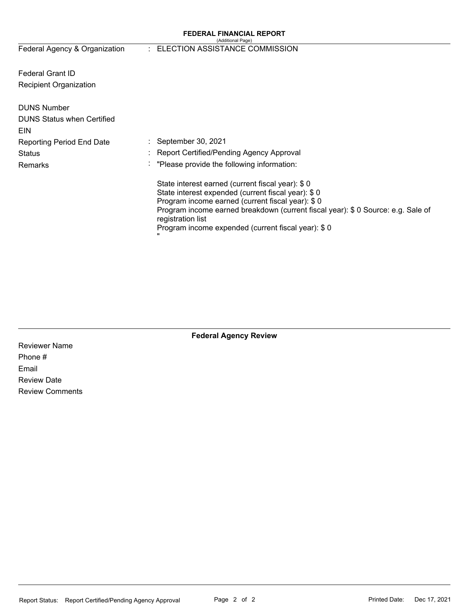#### **FEDERAL FINANCIAL REPORT**  (Additional Page)

Federal Agency & Organization

#### : ELECTION ASSISTANCE COMMISSION

Federal Grant ID Recipient Organization

| <b>DUNS Number</b><br><b>DUNS Status when Certified</b><br>EIN |                                                                                                                                                                                                                                                                                                                          |
|----------------------------------------------------------------|--------------------------------------------------------------------------------------------------------------------------------------------------------------------------------------------------------------------------------------------------------------------------------------------------------------------------|
| <b>Reporting Period End Date</b>                               | September 30, 2021                                                                                                                                                                                                                                                                                                       |
| <b>Status</b>                                                  | : Report Certified/Pending Agency Approval                                                                                                                                                                                                                                                                               |
| <b>Remarks</b>                                                 | : "Please provide the following information:                                                                                                                                                                                                                                                                             |
|                                                                | State interest earned (current fiscal year): \$0<br>State interest expended (current fiscal year): \$0<br>Program income earned (current fiscal year): \$0<br>Program income earned breakdown (current fiscal year): \$0 Source: e.g. Sale of<br>registration list<br>Program income expended (current fiscal year): \$0 |

**Federal Agency Review** 

Reviewer Name Phone # Email Review Date Review Comments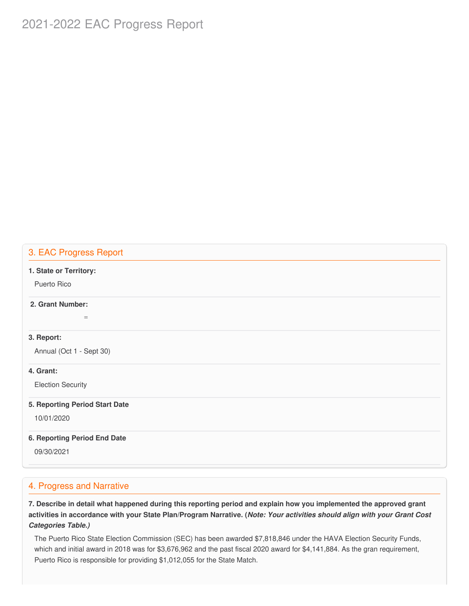# 2021-2022 EAC Progress Report

## 3. EAC Progress Report

#### **1. State or Territory:**

Puerto Rico

## **2. Grant Number:**

=

#### **3. Report:**

Annual (Oct 1 - Sept 30)

#### **4. Grant:**

Election Security

#### **5. Reporting Period Start Date**

10/01/2020

#### **6. Reporting Period End Date**

09/30/2021

## 4. Progress and Narrative

7. Describe in detail what happened during this reporting period and explain how you implemented the approved grant activities in accordance with your State Plan/Program Narrative. (*Note: Your activities should align with your Grant Cost Categories Table.)*

 The Puerto Rico State Election Commission (SEC) has been awarded \$7,818,846 under the HAVA Election Security Funds, which and initial award in 2018 was for \$3,676,962 and the past fiscal 2020 award for \$4,141,884. As the gran requirement, Puerto Rico is responsible for providing \$1,012,055 for the State Match.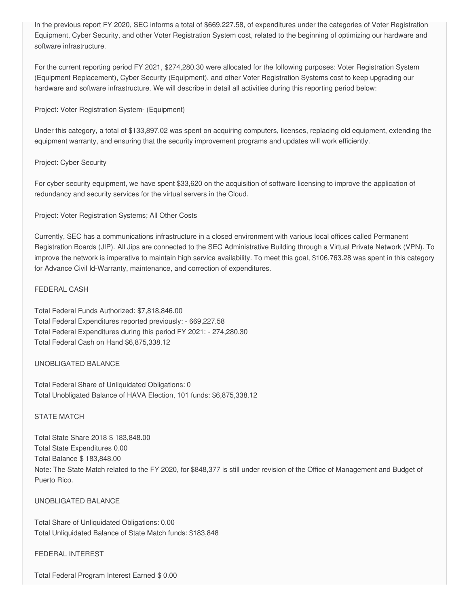In the previous report FY 2020, SEC informs a total of \$[669,227.58,](https://669,227.58) of expenditures under the categories of Voter Registration Equipment, Cyber Security, and other Voter Registration System cost, related to the beginning of optimizing our hardware and software infrastructure.

 For the current reporting period FY 2021, [\\$274,280.30](https://274,280.30) were allocated for the following purposes: Voter Registration System (Equipment Replacement), Cyber Security (Equipment), and other Voter Registration Systems cost to keep upgrading our hardware and software infrastructure. We will describe in detail all activities during this reporting period below:

#### Project: Voter Registration System- (Equipment)

 Under this category, a total of \$[133,897.02](https://133,897.02) was spent on acquiring computers, licenses, replacing old equipment, extending the equipment warranty, and ensuring that the security improvement programs and updates will work efficiently.

#### Project: Cyber Security

 For cyber security equipment, we have spent \$33,620 on the acquisition of software licensing to improve the application of redundancy and security services for the virtual servers in the Cloud.

#### Project: Voter Registration Systems; All Other Costs

 Currently, SEC has a communications infrastructure in a closed environment with various local offices called Permanent Registration Boards (JIP). All Jips are connected to the SEC Administrative Building through a Virtual Private Network (VPN). To improve the network is imperative to maintain high service availability. To meet this goal, \$[106,763.28](https://106,763.28) was spent in this category for Advance Civil Id-Warranty, maintenance, and correction of expenditures.

#### FEDERAL CASH

 Total Federal Funds Authorized: \$[7,818,846.00](https://7,818,846.00) Total Federal Expenditures reported previously: - [669,227.58](https://669,227.58) Total Federal Expenditures during this period FY 2021: - [274,280.30](https://274,280.30) Total Federal Cash on Hand [\\$6,875,338.12](https://6,875,338.12)

#### UNOBLIGATED BALANCE

 Total Federal Share of Unliquidated Obligations: 0 Total Unobligated Balance of HAVA Election, 101 funds: [\\$6,875,338.12](https://6,875,338.12)

#### STATE MATCH

 Total State Share 2018 \$ [183,848.00](https://183,848.00) Total State Expenditures 0.00 Total Balance \$ [183,848.00](https://183,848.00) Note: The State Match related to the FY 2020, for \$848,377 is still under revision of the Office of Management and Budget of Puerto Rico.

#### UNOBLIGATED BALANCE

 Total Share of Unliquidated Obligations: 0.00 Total Unliquidated Balance of State Match funds: \$183,848

#### FEDERAL INTEREST

Total Federal Program Interest Earned \$ 0.00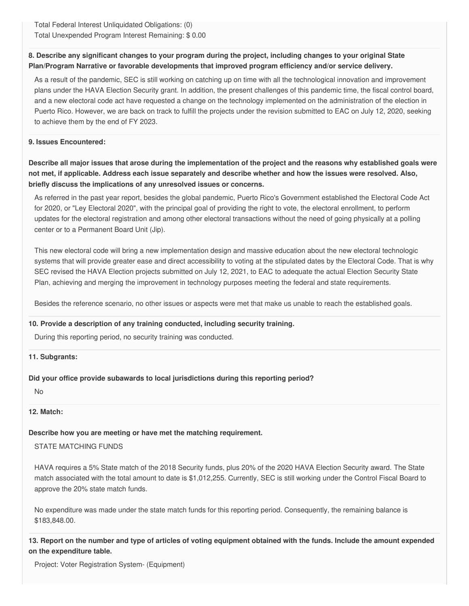Total Federal Interest Unliquidated Obligations: (0) Total Unexpended Program Interest Remaining: \$ 0.00

## 8. Describe any significant changes to your program during the project, including changes to your original State  **Plan/Program Narrative or favorable developments that improved program efficiency and/or service delivery.**

 As a result of the pandemic, SEC is still working on catching up on time with all the technological innovation and improvement plans under the HAVA Election Security grant. In addition, the present challenges of this pandemic time, the fiscal control board, and a new electoral code act have requested a change on the technology implemented on the administration of the election in Puerto Rico. However, we are back on track to fulfill the projects under the revision submitted to EAC on July 12, 2020, seeking to achieve them by the end of FY 2023.

#### **9. Issues Encountered:**

Describe all major issues that arose during the implementation of the project and the reasons why established goals were not met, if applicable. Address each issue separately and describe whether and how the issues were resolved. Also,  **briefly discuss the implications of any unresolved issues or concerns.**

 As referred in the past year report, besides the global pandemic, Puerto Rico's Government established the Electoral Code Act for 2020, or "Ley Electoral 2020", with the principal goal of providing the right to vote, the electoral enrollment, to perform updates for the electoral registration and among other electoral transactions without the need of going physically at a polling center or to a Permanent Board Unit (Jip).

 This new electoral code will bring a new implementation design and massive education about the new electoral technologic systems that will provide greater ease and direct accessibility to voting at the stipulated dates by the Electoral Code. That is why SEC revised the HAVA Election projects submitted on July 12, 2021, to EAC to adequate the actual Election Security State Plan, achieving and merging the improvement in technology purposes meeting the federal and state requirements.

Besides the reference scenario, no other issues or aspects were met that make us unable to reach the established goals.

#### **10. Provide a description of any training conducted, including security training.**

During this reporting period, no security training was conducted.

#### **11. Subgrants:**

#### **Did your office provide subawards to local jurisdictions during this reporting period?**

No

#### **12. Match:**

#### **Describe how you are meeting or have met the matching requirement.**

#### STATE MATCHING FUNDS

 HAVA requires a 5% State match of the 2018 Security funds, plus 20% of the 2020 HAVA Election Security award. The State match associated with the total amount to date is \$1,012,255. Currently, SEC is still working under the Control Fiscal Board to approve the 20% state match funds.

 No expenditure was made under the state match funds for this reporting period. Consequently, the remaining balance is [\\$183,848.00](https://183,848.00).

13. Report on the number and type of articles of voting equipment obtained with the funds. Include the amount expended  **on the expenditure table.**

Project: Voter Registration System- (Equipment)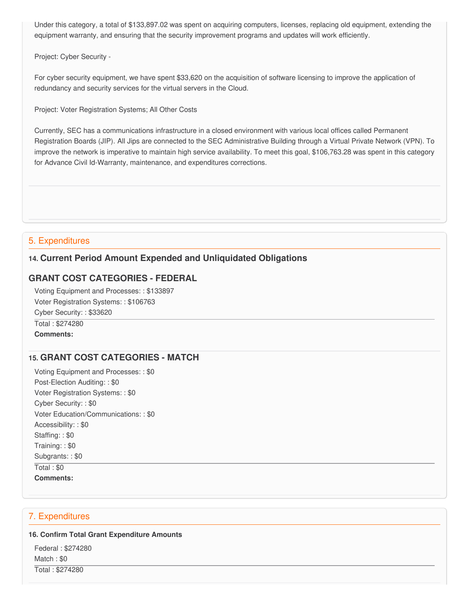Under this category, a total of \$[133,897.02](https://133,897.02) was spent on acquiring computers, licenses, replacing old equipment, extending the equipment warranty, and ensuring that the security improvement programs and updates will work efficiently.

Project: Cyber Security -

 For cyber security equipment, we have spent \$33,620 on the acquisition of software licensing to improve the application of redundancy and security services for the virtual servers in the Cloud.

Project: Voter Registration Systems; All Other Costs

 Currently, SEC has a communications infrastructure in a closed environment with various local offices called Permanent Registration Boards (JIP). All Jips are connected to the SEC Administrative Building through a Virtual Private Network (VPN). To improve the network is imperative to maintain high service availability. To meet this goal, \$[106,763.28](https://106,763.28) was spent in this category for Advance Civil Id-Warranty, maintenance, and expenditures corrections.

## 5. Expenditures

## **14. Current Period Amount Expended and Unliquidated Obligations**

## **GRANT COST CATEGORIES - FEDERAL**

 Voting Equipment and Processes: : \$133897 Voter Registration Systems: : \$106763 Cyber Security: : \$33620 Total : \$274280 **Comments:**

## **15. GRANT COST CATEGORIES - MATCH**

 Voting Equipment and Processes: : \$0 Post-Election Auditing: : \$0 Voter Registration Systems: : \$0 Cyber Security: : \$0 Voter Education/Communications: : \$0 Accessibility: : \$0 Staffing: : \$0 Training: : \$0 Subgrants: : \$0 Total : \$0 **Comments:**

## 7. Expenditures

#### **16. Confirm Total Grant Expenditure Amounts**

 Federal : \$274280 Match : \$0 Total : \$274280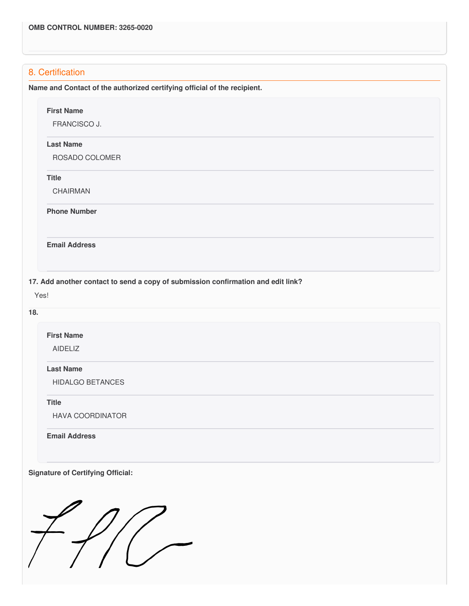**OMB CONTROL NUMBER: 3265-0020**

## 8. Certification

 **Name and Contact of the authorized certifying official of the recipient.**

**First Name**

FRANCISCO J.

#### **Last Name**

ROSADO COLOMER

**Title**

CHAIRMAN

**Phone Number** 

**Email Address**

#### **17. Add another contact to send a copy of submission confirmation and edit link?**

#### Yes!

**18.**

**First Name**

AIDELIZ

#### **Last Name**

HIDALGO BETANCES

**Title**

HAVA COORDINATOR

**Email Address**

 **Signature of Certifying Official:**